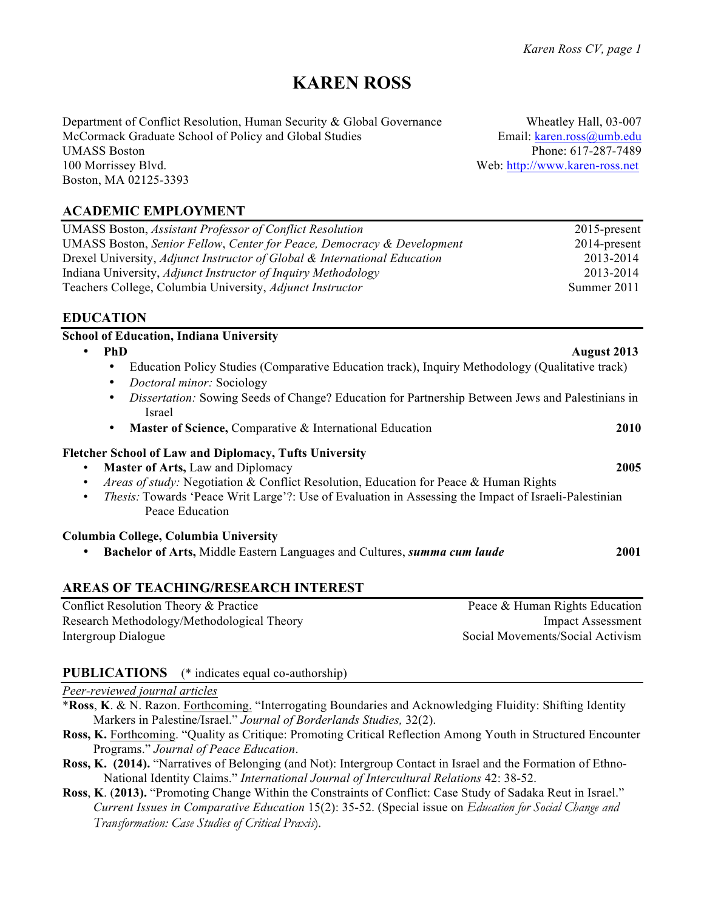# **KAREN ROSS**

Department of Conflict Resolution, Human Security & Global Governance Wheatley Hall, 03-007<br>McCormack Graduate School of Policy and Global Studies Email: karen.ross@umb.edu McCormack Graduate School of Policy and Global Studies UMASS Boston Phone: 617-287-7489 100 Morrissey Blvd. Web: http://www.karen-ross.net Boston, MA 02125-3393

# **ACADEMIC EMPLOYMENT**

| <b>UMASS Boston, Assistant Professor of Conflict Resolution</b>           | $2015$ -present |
|---------------------------------------------------------------------------|-----------------|
| UMASS Boston, Senior Fellow, Center for Peace, Democracy & Development    | $2014$ -present |
| Drexel University, Adjunct Instructor of Global & International Education | 2013-2014       |
| Indiana University, Adjunct Instructor of Inquiry Methodology             | 2013-2014       |
| Teachers College, Columbia University, Adjunct Instructor                 | Summer 2011     |

### **EDUCATION**

| <b>School of Education, Indiana University</b>                                                                                                                                                                                                                                                                                                                  |             |
|-----------------------------------------------------------------------------------------------------------------------------------------------------------------------------------------------------------------------------------------------------------------------------------------------------------------------------------------------------------------|-------------|
| <b>PhD</b><br><b>August 2013</b><br>$\bullet$                                                                                                                                                                                                                                                                                                                   |             |
| Education Policy Studies (Comparative Education track), Inquiry Methodology (Qualitative track)<br>٠<br>Doctoral minor: Sociology<br>٠                                                                                                                                                                                                                          |             |
| Dissertation: Sowing Seeds of Change? Education for Partnership Between Jews and Palestinians in<br>٠<br>Israel                                                                                                                                                                                                                                                 |             |
| Master of Science, Comparative & International Education<br>٠                                                                                                                                                                                                                                                                                                   | <b>2010</b> |
| <b>Fletcher School of Law and Diplomacy, Tufts University</b><br>Master of Arts, Law and Diplomacy<br><i>Areas of study:</i> Negotiation & Conflict Resolution, Education for Peace & Human Rights<br>$\bullet$<br><i>Thesis:</i> Towards 'Peace Writ Large'?: Use of Evaluation in Assessing the Impact of Israeli-Palestinian<br>$\bullet$<br>Peace Education | 2005        |
| Columbia College, Columbia University<br>Bachelor of Arts, Middle Eastern Languages and Cultures, summa cum laude<br>٠                                                                                                                                                                                                                                          | 2001        |
| AREAS OF TEACHING/RESEARCH INTEREST                                                                                                                                                                                                                                                                                                                             |             |

### **AREAS OF TEACHING/RESEARCH INTEREST**

Conflict Resolution Theory & Practice Peace & Human Rights Education Research Methodology/Methodological Theory Impact Assessment Intergroup Dialogue Social Movements/Social Activism

### **PUBLICATIONS** (\* indicates equal co-authorship)

#### *Peer-reviewed journal articles*

- \***Ross**, **K**. & N. Razon. Forthcoming. "Interrogating Boundaries and Acknowledging Fluidity: Shifting Identity Markers in Palestine/Israel." *Journal of Borderlands Studies,* 32(2).
- **Ross, K.** Forthcoming. "Quality as Critique: Promoting Critical Reflection Among Youth in Structured Encounter Programs." *Journal of Peace Education*.
- **Ross, K. (2014).** "Narratives of Belonging (and Not): Intergroup Contact in Israel and the Formation of Ethno-National Identity Claims." *International Journal of Intercultural Relations* 42: 38-52.
- **Ross**, **K**. (**2013).** "Promoting Change Within the Constraints of Conflict: Case Study of Sadaka Reut in Israel." *Current Issues in Comparative Education* 15(2): 35-52. (Special issue on *Education for Social Change and Transformation: Case Studies of Critical Praxis*)*.*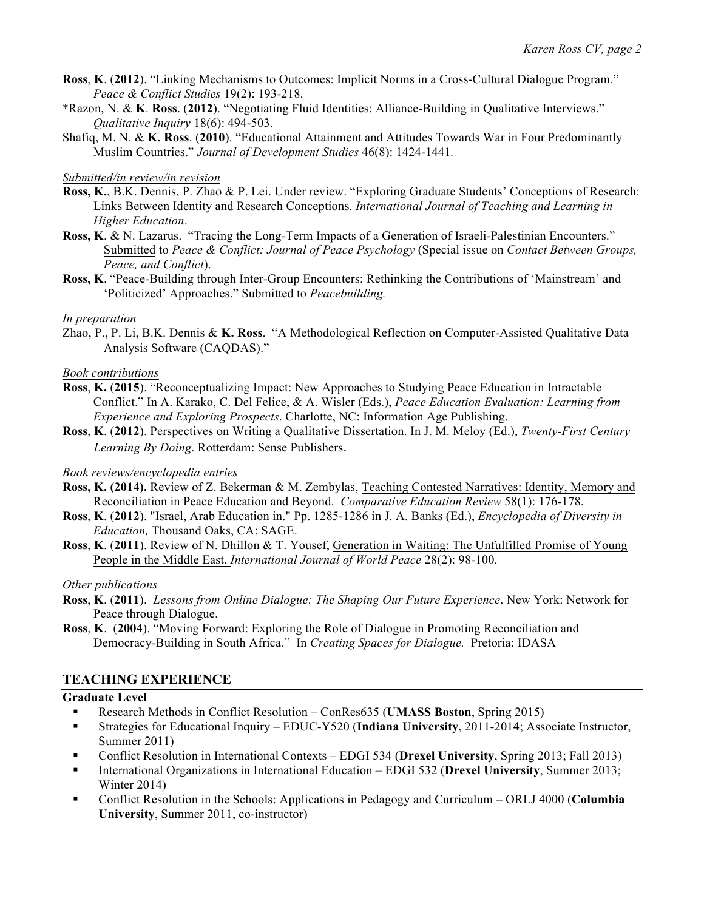- **Ross**, **K**. (**2012**). "Linking Mechanisms to Outcomes: Implicit Norms in a Cross-Cultural Dialogue Program." *Peace & Conflict Studies* 19(2): 193-218.
- \*Razon, N. & **K**. **Ross**. (**2012**). "Negotiating Fluid Identities: Alliance-Building in Qualitative Interviews." *Qualitative Inquiry* 18(6): 494-503.
- Shafiq, M. N. & **K. Ross**. (**2010**). "Educational Attainment and Attitudes Towards War in Four Predominantly Muslim Countries." *Journal of Development Studies* 46(8): 1424-1441*.*

#### *Submitted/in review/in revision*

- **Ross, K.**, B.K. Dennis, P. Zhao & P. Lei. Under review. "Exploring Graduate Students' Conceptions of Research: Links Between Identity and Research Conceptions. *International Journal of Teaching and Learning in Higher Education*.
- **Ross, K**. & N. Lazarus. "Tracing the Long-Term Impacts of a Generation of Israeli-Palestinian Encounters." Submitted to *Peace & Conflict: Journal of Peace Psychology* (Special issue on *Contact Between Groups, Peace, and Conflict*).
- **Ross, K**. "Peace-Building through Inter-Group Encounters: Rethinking the Contributions of 'Mainstream' and 'Politicized' Approaches." Submitted to *Peacebuilding.*

#### *In preparation*

Zhao, P., P. Li, B.K. Dennis & **K. Ross**. "A Methodological Reflection on Computer-Assisted Qualitative Data Analysis Software (CAQDAS)."

#### *Book contributions*

- **Ross**, **K.** (**2015**). "Reconceptualizing Impact: New Approaches to Studying Peace Education in Intractable Conflict." In A. Karako, C. Del Felice, & A. Wisler (Eds.), *Peace Education Evaluation: Learning from Experience and Exploring Prospects*. Charlotte, NC: Information Age Publishing.
- **Ross**, **K**. (**2012**). Perspectives on Writing a Qualitative Dissertation. In J. M. Meloy (Ed.), *Twenty-First Century Learning By Doing*. Rotterdam: Sense Publishers.

#### *Book reviews/encyclopedia entries*

- **Ross, K. (2014).** Review of Z. Bekerman & M. Zembylas, Teaching Contested Narratives: Identity, Memory and Reconciliation in Peace Education and Beyond. *Comparative Education Review* 58(1): 176-178.
- **Ross**, **K**. (**2012**). "Israel, Arab Education in." Pp. 1285-1286 in J. A. Banks (Ed.), *Encyclopedia of Diversity in Education,* Thousand Oaks, CA: SAGE.
- **Ross**, **K**. (**2011**). Review of N. Dhillon & T. Yousef, Generation in Waiting: The Unfulfilled Promise of Young People in the Middle East. *International Journal of World Peace* 28(2): 98-100.

#### *Other publications*

- **Ross**, **K**. (**2011**). *Lessons from Online Dialogue: The Shaping Our Future Experience*. New York: Network for Peace through Dialogue.
- **Ross**, **K**. (**2004**). "Moving Forward: Exploring the Role of Dialogue in Promoting Reconciliation and Democracy-Building in South Africa." In *Creating Spaces for Dialogue.* Pretoria: IDASA

#### **TEACHING EXPERIENCE**

#### **Graduate Level**

- § Research Methods in Conflict Resolution ConRes635 (**UMASS Boston**, Spring 2015)
- § Strategies for Educational Inquiry EDUC-Y520 (**Indiana University**, 2011-2014; Associate Instructor, Summer 2011)
- § Conflict Resolution in International Contexts EDGI 534 (**Drexel University**, Spring 2013; Fall 2013)
- § International Organizations in International Education EDGI 532 (**Drexel University**, Summer 2013; Winter 2014)
- § Conflict Resolution in the Schools: Applications in Pedagogy and Curriculum ORLJ 4000 (**Columbia University**, Summer 2011, co-instructor)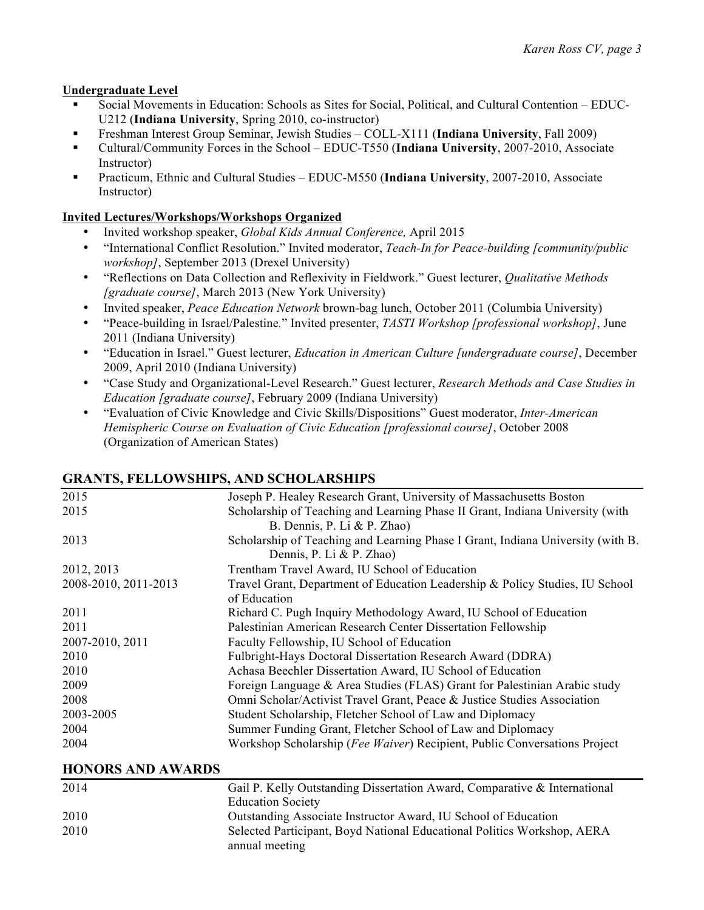#### **Undergraduate Level**

- § Social Movements in Education: Schools as Sites for Social, Political, and Cultural Contention EDUC-U212 (**Indiana University**, Spring 2010, co-instructor)
- § Freshman Interest Group Seminar, Jewish Studies COLL-X111 (**Indiana University**, Fall 2009)
- § Cultural/Community Forces in the School EDUC-T550 (**Indiana University**, 2007-2010, Associate Instructor)
- § Practicum, Ethnic and Cultural Studies EDUC-M550 (**Indiana University**, 2007-2010, Associate Instructor)

### **Invited Lectures/Workshops/Workshops Organized**

- Invited workshop speaker, *Global Kids Annual Conference,* April 2015
- "International Conflict Resolution." Invited moderator, *Teach-In for Peace-building [community/public workshop]*, September 2013 (Drexel University)
- "Reflections on Data Collection and Reflexivity in Fieldwork." Guest lecturer, *Qualitative Methods [graduate course]*, March 2013 (New York University)
- Invited speaker, *Peace Education Network* brown-bag lunch, October 2011 (Columbia University)
- "Peace-building in Israel/Palestine*.*" Invited presenter, *TASTI Workshop [professional workshop]*, June 2011 (Indiana University)
- "Education in Israel." Guest lecturer, *Education in American Culture [undergraduate course]*, December 2009, April 2010 (Indiana University)
- "Case Study and Organizational-Level Research." Guest lecturer, *Research Methods and Case Studies in Education [graduate course]*, February 2009 (Indiana University)
- "Evaluation of Civic Knowledge and Civic Skills/Dispositions" Guest moderator, *Inter-American Hemispheric Course on Evaluation of Civic Education [professional course]*, October 2008 (Organization of American States)

### 2015 Joseph P. Healey Research Grant, University of Massachusetts Boston 2015 Scholarship of Teaching and Learning Phase II Grant, Indiana University (with B. Dennis, P. Li & P. Zhao) 2013 Scholarship of Teaching and Learning Phase I Grant, Indiana University (with B. Dennis, P. Li & P. Zhao) 2012, 2013 Trentham Travel Award, IU School of Education 2008-2010, 2011-2013 Travel Grant, Department of Education Leadership & Policy Studies, IU School of Education 2011 Richard C. Pugh Inquiry Methodology Award, IU School of Education 2011 Palestinian American Research Center Dissertation Fellowship 2007-2010, 2011 Faculty Fellowship, IU School of Education 2010 Fulbright-Hays Doctoral Dissertation Research Award (DDRA) 2010 Achasa Beechler Dissertation Award, IU School of Education 2009 Foreign Language & Area Studies (FLAS) Grant for Palestinian Arabic study 2008 Omni Scholar/Activist Travel Grant, Peace & Justice Studies Association 2003-2005 Student Scholarship, Fletcher School of Law and Diplomacy 2004 Summer Funding Grant, Fletcher School of Law and Diplomacy 2004 Workshop Scholarship (*Fee Waiver*) Recipient, Public Conversations Project

# **GRANTS, FELLOWSHIPS, AND SCHOLARSHIPS**

**HONORS AND AWARDS**

| 2014 | Gail P. Kelly Outstanding Dissertation Award, Comparative & International |
|------|---------------------------------------------------------------------------|
|      | <b>Education Society</b>                                                  |
| 2010 | Outstanding Associate Instructor Award, IU School of Education            |
| 2010 | Selected Participant, Boyd National Educational Politics Workshop, AERA   |
|      | annual meeting                                                            |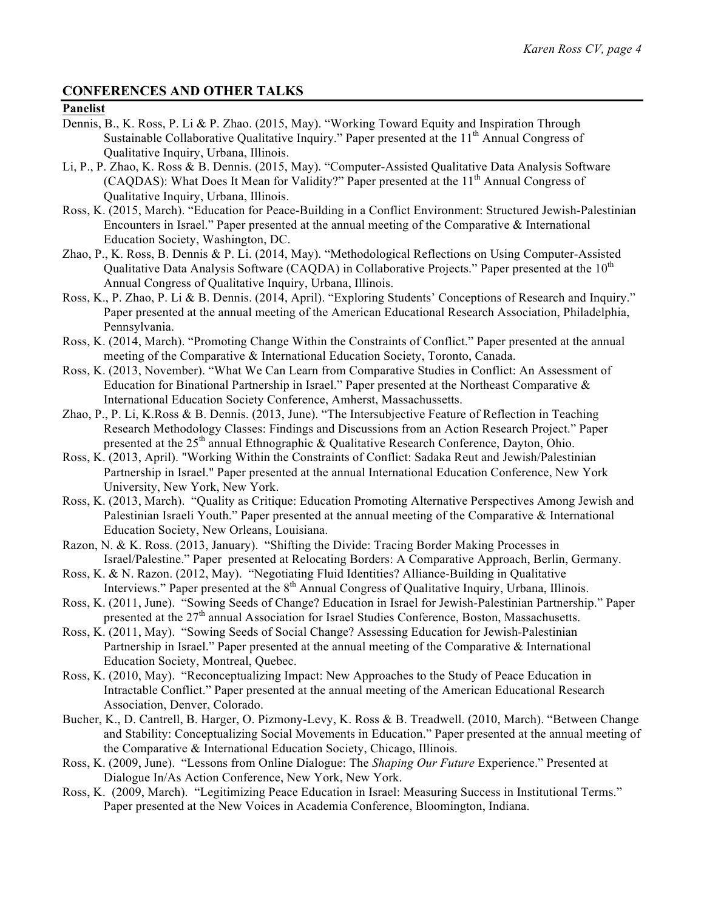# **CONFERENCES AND OTHER TALKS**

# **Panelist**

- Dennis, B., K. Ross, P. Li & P. Zhao. (2015, May). "Working Toward Equity and Inspiration Through Sustainable Collaborative Qualitative Inquiry." Paper presented at the  $11<sup>th</sup>$  Annual Congress of Qualitative Inquiry, Urbana, Illinois.
- Li, P., P. Zhao, K. Ross & B. Dennis. (2015, May). "Computer-Assisted Qualitative Data Analysis Software (CAQDAS): What Does It Mean for Validity?" Paper presented at the  $11<sup>th</sup>$  Annual Congress of Qualitative Inquiry, Urbana, Illinois.
- Ross, K. (2015, March). "Education for Peace-Building in a Conflict Environment: Structured Jewish-Palestinian Encounters in Israel." Paper presented at the annual meeting of the Comparative & International Education Society, Washington, DC.
- Zhao, P., K. Ross, B. Dennis & P. Li. (2014, May). "Methodological Reflections on Using Computer-Assisted Qualitative Data Analysis Software (CAQDA) in Collaborative Projects." Paper presented at the  $10<sup>th</sup>$ Annual Congress of Qualitative Inquiry, Urbana, Illinois.
- Ross, K., P. Zhao, P. Li & B. Dennis. (2014, April). "Exploring Students' Conceptions of Research and Inquiry." Paper presented at the annual meeting of the American Educational Research Association, Philadelphia, Pennsylvania.
- Ross, K. (2014, March). "Promoting Change Within the Constraints of Conflict." Paper presented at the annual meeting of the Comparative & International Education Society, Toronto, Canada.
- Ross, K. (2013, November). "What We Can Learn from Comparative Studies in Conflict: An Assessment of Education for Binational Partnership in Israel." Paper presented at the Northeast Comparative  $\&$ International Education Society Conference, Amherst, Massachussetts.
- Zhao, P., P. Li, K.Ross & B. Dennis. (2013, June). "The Intersubjective Feature of Reflection in Teaching Research Methodology Classes: Findings and Discussions from an Action Research Project." Paper presented at the  $25<sup>th</sup>$  annual Ethnographic & Qualitative Research Conference, Dayton, Ohio.
- Ross, K. (2013, April). "Working Within the Constraints of Conflict: Sadaka Reut and Jewish/Palestinian Partnership in Israel." Paper presented at the annual International Education Conference, New York University, New York, New York.
- Ross, K. (2013, March). "Quality as Critique: Education Promoting Alternative Perspectives Among Jewish and Palestinian Israeli Youth." Paper presented at the annual meeting of the Comparative & International Education Society, New Orleans, Louisiana.
- Razon, N. & K. Ross. (2013, January). "Shifting the Divide: Tracing Border Making Processes in Israel/Palestine." Paper presented at Relocating Borders: A Comparative Approach, Berlin, Germany.
- Ross, K. & N. Razon. (2012, May). "Negotiating Fluid Identities? Alliance-Building in Qualitative Interviews." Paper presented at the 8<sup>th</sup> Annual Congress of Qualitative Inquiry, Urbana, Illinois.
- Ross, K. (2011, June). "Sowing Seeds of Change? Education in Israel for Jewish-Palestinian Partnership." Paper presented at the 27<sup>th</sup> annual Association for Israel Studies Conference, Boston, Massachusetts.
- Ross, K. (2011, May). "Sowing Seeds of Social Change? Assessing Education for Jewish-Palestinian Partnership in Israel." Paper presented at the annual meeting of the Comparative & International Education Society, Montreal, Quebec.
- Ross, K. (2010, May). "Reconceptualizing Impact: New Approaches to the Study of Peace Education in Intractable Conflict." Paper presented at the annual meeting of the American Educational Research Association, Denver, Colorado.
- Bucher, K., D. Cantrell, B. Harger, O. Pizmony-Levy, K. Ross & B. Treadwell. (2010, March). "Between Change and Stability: Conceptualizing Social Movements in Education." Paper presented at the annual meeting of the Comparative & International Education Society, Chicago, Illinois.
- Ross, K. (2009, June). "Lessons from Online Dialogue: The *Shaping Our Future* Experience." Presented at Dialogue In/As Action Conference, New York, New York.
- Ross, K. (2009, March). "Legitimizing Peace Education in Israel: Measuring Success in Institutional Terms." Paper presented at the New Voices in Academia Conference, Bloomington, Indiana.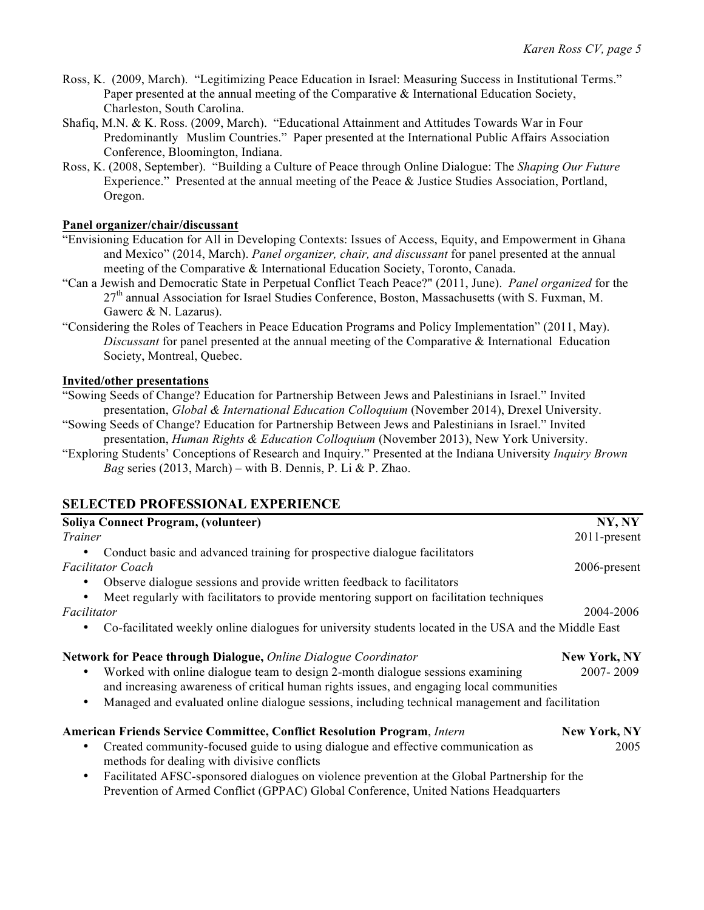- Ross, K. (2009, March). "Legitimizing Peace Education in Israel: Measuring Success in Institutional Terms." Paper presented at the annual meeting of the Comparative & International Education Society, Charleston, South Carolina.
- Shafiq, M.N. & K. Ross. (2009, March). "Educational Attainment and Attitudes Towards War in Four Predominantly Muslim Countries." Paper presented at the International Public Affairs Association Conference, Bloomington, Indiana.
- Ross, K. (2008, September). "Building a Culture of Peace through Online Dialogue: The *Shaping Our Future* Experience." Presented at the annual meeting of the Peace & Justice Studies Association, Portland, Oregon.

#### **Panel organizer/chair/discussant**

- "Envisioning Education for All in Developing Contexts: Issues of Access, Equity, and Empowerment in Ghana and Mexico" (2014, March). *Panel organizer, chair, and discussant* for panel presented at the annual meeting of the Comparative & International Education Society, Toronto, Canada.
- "Can a Jewish and Democratic State in Perpetual Conflict Teach Peace?" (2011, June). *Panel organized* for the 27<sup>th</sup> annual Association for Israel Studies Conference, Boston, Massachusetts (with S. Fuxman, M. Gawerc & N. Lazarus).
- "Considering the Roles of Teachers in Peace Education Programs and Policy Implementation" (2011, May). *Discussant* for panel presented at the annual meeting of the Comparative & International Education Society, Montreal, Quebec.

#### **Invited/other presentations**

"Sowing Seeds of Change? Education for Partnership Between Jews and Palestinians in Israel." Invited presentation, *Global & International Education Colloquium* (November 2014), Drexel University.

"Sowing Seeds of Change? Education for Partnership Between Jews and Palestinians in Israel." Invited presentation, *Human Rights & Education Colloquium* (November 2013), New York University.

"Exploring Students' Conceptions of Research and Inquiry." Presented at the Indiana University *Inquiry Brown Bag* series (2013, March) – with B. Dennis, P. Li & P. Zhao.

# **SELECTED PROFESSIONAL EXPERIENCE**

| Soliya Connect Program, (volunteer)                                                                   | NY, NY              |
|-------------------------------------------------------------------------------------------------------|---------------------|
| Trainer                                                                                               | 2011-present        |
| Conduct basic and advanced training for prospective dialogue facilitators                             |                     |
| <b>Facilitator Coach</b>                                                                              | 2006-present        |
| Observe dialogue sessions and provide written feedback to facilitators                                |                     |
| Meet regularly with facilitators to provide mentoring support on facilitation techniques              |                     |
| Facilitator                                                                                           | 2004-2006           |
| Co-facilitated weekly online dialogues for university students located in the USA and the Middle East |                     |
| Network for Peace through Dialogue, Online Dialogue Coordinator                                       | <b>New York, NY</b> |
| Worked with online dialogue team to design 2-month dialogue sessions examining                        | 2007-2009           |
| and increasing awareness of critical human rights issues, and engaging local communities              |                     |
| Managed and evaluated online dialogue sessions, including technical management and facilitation       |                     |
| <b>American Friends Service Committee, Conflict Resolution Program, Intern</b>                        | <b>New York, NY</b> |
| Created community-focused guide to using dialogue and effective communication as                      | 2005                |
| methods for dealing with divisive conflicts                                                           |                     |
| Facilitated AFSC-sponsored dialogues on violence prevention at the Global Partnership for the         |                     |
| Prevention of Armed Conflict (GPPAC) Global Conference, United Nations Headquarters                   |                     |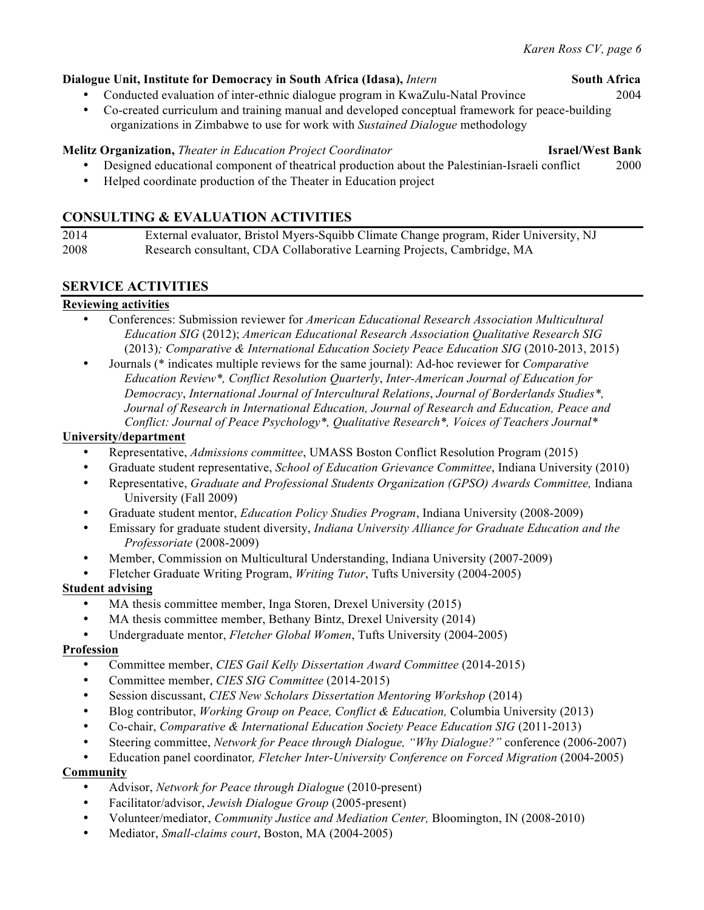### **Dialogue Unit, Institute for Democracy in South Africa (Idasa),** *Intern* **South Africa**

- Conducted evaluation of inter-ethnic dialogue program in KwaZulu-Natal Province 2004
- Co-created curriculum and training manual and developed conceptual framework for peace-building organizations in Zimbabwe to use for work with *Sustained Dialogue* methodology

# **Melitz Organization,** *Theater in Education Project Coordinator* **Israel/West Bank**

- Designed educational component of theatrical production about the Palestinian-Israeli conflict 2000
- Helped coordinate production of the Theater in Education project

# **CONSULTING & EVALUATION ACTIVITIES**

| 2014 | External evaluator, Bristol Myers-Squibb Climate Change program, Rider University, NJ |
|------|---------------------------------------------------------------------------------------|
| 2008 | Research consultant, CDA Collaborative Learning Projects, Cambridge, MA               |

# **SERVICE ACTIVITIES**

### **Reviewing activities**

- Conferences: Submission reviewer for *American Educational Research Association Multicultural Education SIG* (2012); *American Educational Research Association Qualitative Research SIG* (2013)*; Comparative & International Education Society Peace Education SIG* (2010-2013, 2015)
- Journals (\* indicates multiple reviews for the same journal): Ad-hoc reviewer for *Comparative Education Review\*, Conflict Resolution Quarterly*, *Inter-American Journal of Education for Democracy*, *International Journal of Intercultural Relations*, *Journal of Borderlands Studies\*, Journal of Research in International Education, Journal of Research and Education, Peace and Conflict: Journal of Peace Psychology\*, Qualitative Research\*, Voices of Teachers Journal\**

#### **University/department**

- Representative, *Admissions committee*, UMASS Boston Conflict Resolution Program (2015)
- Graduate student representative, *School of Education Grievance Committee*, Indiana University (2010)
- Representative, *Graduate and Professional Students Organization (GPSO) Awards Committee,* Indiana University (Fall 2009)
- Graduate student mentor, *Education Policy Studies Program*, Indiana University (2008-2009)
- Emissary for graduate student diversity, *Indiana University Alliance for Graduate Education and the Professoriate* (2008-2009)
- Member, Commission on Multicultural Understanding, Indiana University (2007-2009)
- Fletcher Graduate Writing Program, *Writing Tutor*, Tufts University (2004-2005)

### **Student advising**

- MA thesis committee member, Inga Storen, Drexel University (2015)
- MA thesis committee member, Bethany Bintz, Drexel University (2014)
- Undergraduate mentor, *Fletcher Global Women*, Tufts University (2004-2005)

### **Profession**

- Committee member, *CIES Gail Kelly Dissertation Award Committee* (2014-2015)
- Committee member, *CIES SIG Committee* (2014-2015)
- Session discussant, *CIES New Scholars Dissertation Mentoring Workshop* (2014)
- Blog contributor, *Working Group on Peace, Conflict & Education,* Columbia University (2013)
- Co-chair, *Comparative & International Education Society Peace Education SIG* (2011-2013)
- Steering committee, *Network for Peace through Dialogue, "Why Dialogue?"* conference (2006-2007)
- Education panel coordinator*, Fletcher Inter-University Conference on Forced Migration* (2004-2005)

#### **Community**

- Advisor, *Network for Peace through Dialogue* (2010-present)
- Facilitator/advisor, *Jewish Dialogue Group* (2005-present)
- Volunteer/mediator, *Community Justice and Mediation Center,* Bloomington, IN (2008-2010)
- Mediator, *Small-claims court*, Boston, MA (2004-2005)